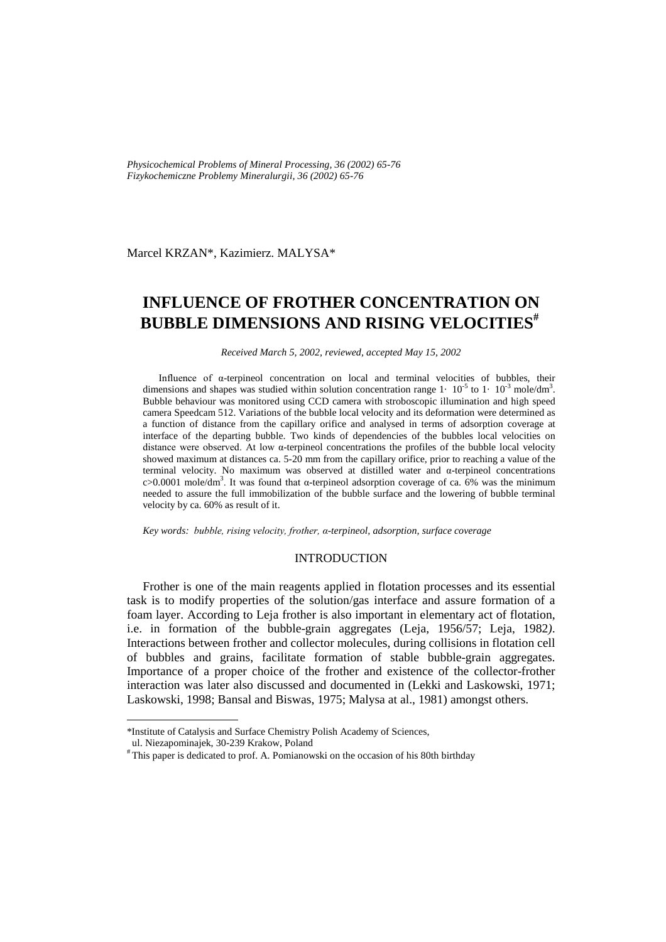*Physicochemical Problems of Mineral Processing, 36 (2002) 65-76 Fizykochemiczne Problemy Mineralurgii, 36 (2002) 65-76* 

Marcel KRZAN\*, Kazimierz. MALYSA\*

# **INFLUENCE OF FROTHER CONCENTRATION ON BUBBLE DIMENSIONS AND RISING VELOCITIES#**

*Received March 5, 2002, reviewed, accepted May 15, 2002*

Influence of α-terpineol concentration on local and terminal velocities of bubbles, their dimensions and shapes was studied within solution concentration range  $1 \cdot 10^{-5}$  to  $1 \cdot 10^{-3}$  mole/dm<sup>3</sup>. Bubble behaviour was monitored using CCD camera with stroboscopic illumination and high speed camera Speedcam 512. Variations of the bubble local velocity and its deformation were determined as a function of distance from the capillary orifice and analysed in terms of adsorption coverage at interface of the departing bubble. Two kinds of dependencies of the bubbles local velocities on distance were observed. At low α-terpineol concentrations the profiles of the bubble local velocity showed maximum at distances ca. 5-20 mm from the capillary orifice, prior to reaching a value of the terminal velocity. No maximum was observed at distilled water and α-terpineol concentrations c>0.0001 mole/dm<sup>3</sup>. It was found that α-terpineol adsorption coverage of ca. 6% was the minimum needed to assure the full immobilization of the bubble surface and the lowering of bubble terminal velocity by ca. 60% as result of it.

*Key words: bubble, rising velocity, frother, α-terpineol, adsorption, surface coverage*

## INTRODUCTION

Frother is one of the main reagents applied in flotation processes and its essential task is to modify properties of the solution/gas interface and assure formation of a foam layer. According to Leja frother is also important in elementary act of flotation, i.e. in formation of the bubble-grain aggregates (Leja, 1956/57; Leja, 1982*)*. Interactions between frother and collector molecules, during collisions in flotation cell of bubbles and grains, facilitate formation of stable bubble-grain aggregates. Importance of a proper choice of the frother and existence of the collector-frother interaction was later also discussed and documented in (Lekki and Laskowski, 1971; Laskowski, 1998; Bansal and Biswas, 1975; Malysa at al., 1981) amongst others.

 $\overline{a}$ 

<sup>\*</sup>Institute of Catalysis and Surface Chemistry Polish Academy of Sciences,

ul. Niezapominajek, 30-239 Krakow, Poland

<sup>#</sup> This paper is dedicated to prof. A. Pomianowski on the occasion of his 80th birthday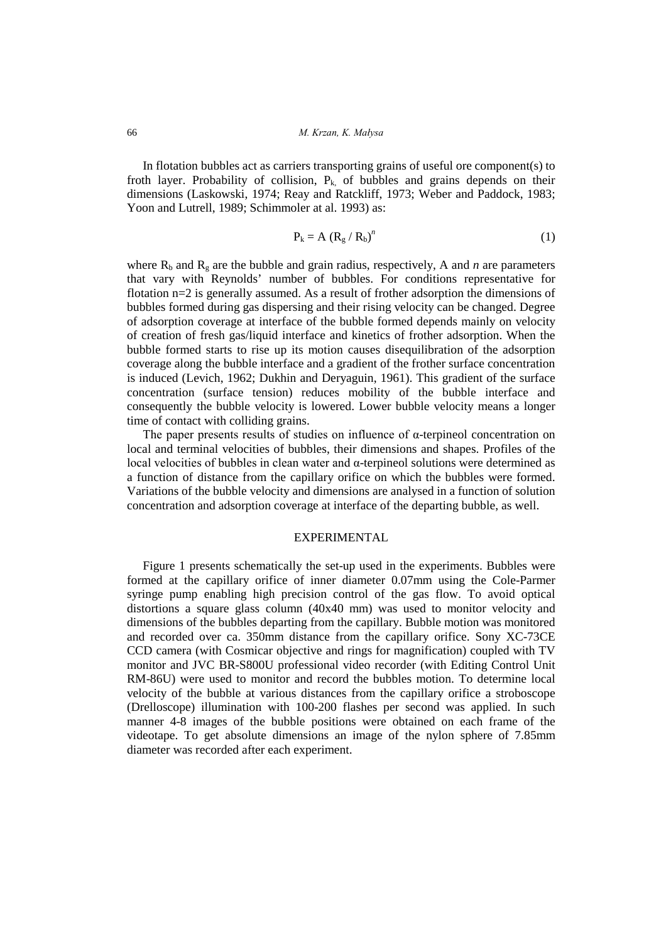In flotation bubbles act as carriers transporting grains of useful ore component(s) to froth layer. Probability of collision,  $P_k$  of bubbles and grains depends on their dimensions (Laskowski, 1974; Reay and Ratckliff, 1973; Weber and Paddock, 1983; Yoon and Lutrell, 1989; Schimmoler at al. 1993) as:

$$
P_k = A (R_g / R_b)^n
$$
 (1)

where  $R_b$  and  $R_g$  are the bubble and grain radius, respectively, A and *n* are parameters that vary with Reynolds' number of bubbles. For conditions representative for flotation n=2 is generally assumed. As a result of frother adsorption the dimensions of bubbles formed during gas dispersing and their rising velocity can be changed. Degree of adsorption coverage at interface of the bubble formed depends mainly on velocity of creation of fresh gas/liquid interface and kinetics of frother adsorption. When the bubble formed starts to rise up its motion causes disequilibration of the adsorption coverage along the bubble interface and a gradient of the frother surface concentration is induced (Levich, 1962; Dukhin and Deryaguin, 1961). This gradient of the surface concentration (surface tension) reduces mobility of the bubble interface and consequently the bubble velocity is lowered. Lower bubble velocity means a longer time of contact with colliding grains.

The paper presents results of studies on influence of α-terpineol concentration on local and terminal velocities of bubbles, their dimensions and shapes. Profiles of the local velocities of bubbles in clean water and α-terpineol solutions were determined as a function of distance from the capillary orifice on which the bubbles were formed. Variations of the bubble velocity and dimensions are analysed in a function of solution concentration and adsorption coverage at interface of the departing bubble, as well.

## EXPERIMENTAL

Figure 1 presents schematically the set-up used in the experiments. Bubbles were formed at the capillary orifice of inner diameter 0.07mm using the Cole-Parmer syringe pump enabling high precision control of the gas flow. To avoid optical distortions a square glass column  $(40x40 \text{ mm})$  was used to monitor velocity and dimensions of the bubbles departing from the capillary. Bubble motion was monitored and recorded over ca. 350mm distance from the capillary orifice. Sony XC-73CE CCD camera (with Cosmicar objective and rings for magnification) coupled with TV monitor and JVC BR-S800U professional video recorder (with Editing Control Unit RM-86U) were used to monitor and record the bubbles motion. To determine local velocity of the bubble at various distances from the capillary orifice a stroboscope (Drelloscope) illumination with 100-200 flashes per second was applied. In such manner 4-8 images of the bubble positions were obtained on each frame of the videotape. To get absolute dimensions an image of the nylon sphere of 7.85mm diameter was recorded after each experiment.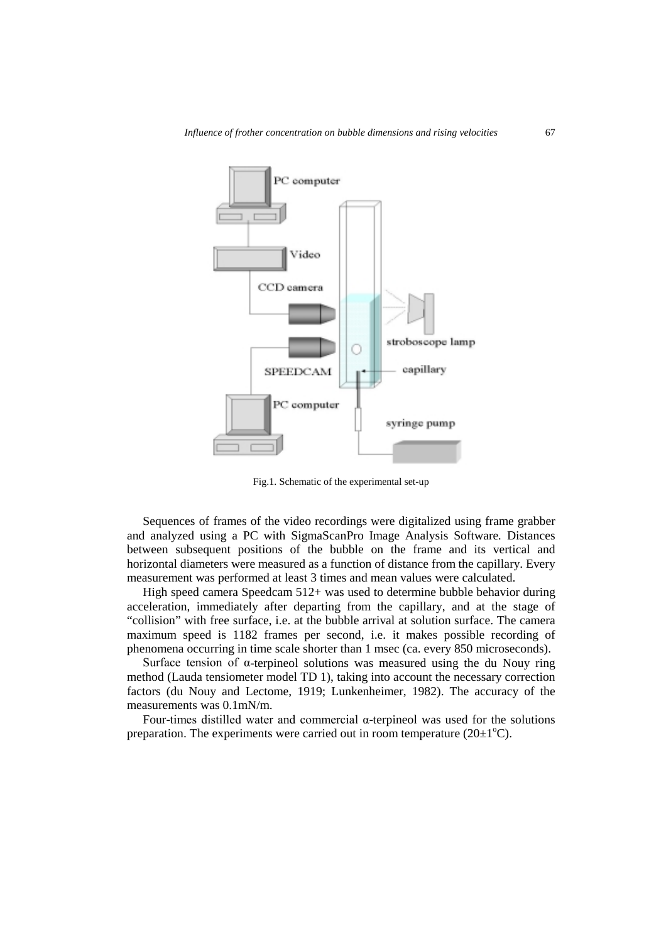

Fig.1. Schematic of the experimental set-up

Sequences of frames of the video recordings were digitalized using frame grabber and analyzed using a PC with SigmaScanPro Image Analysis Software*.* Distances between subsequent positions of the bubble on the frame and its vertical and horizontal diameters were measured as a function of distance from the capillary. Every measurement was performed at least 3 times and mean values were calculated.

High speed camera Speedcam 512+ was used to determine bubble behavior during acceleration, immediately after departing from the capillary, and at the stage of "collision" with free surface, i.e. at the bubble arrival at solution surface. The camera maximum speed is 1182 frames per second, i.e. it makes possible recording of phenomena occurring in time scale shorter than 1 msec (ca. every 850 microseconds).

Surface tension of α-terpineol solutions was measured using the du Nouy ring method (Lauda tensiometer model TD 1), taking into account the necessary correction factors (du Nouy and Lectome, 1919; Lunkenheimer, 1982). The accuracy of the measurements was 0.1mN/m.

Four-times distilled water and commercial α-terpineol was used for the solutions preparation. The experiments were carried out in room temperature  $(20\pm1^{\circ}C)$ .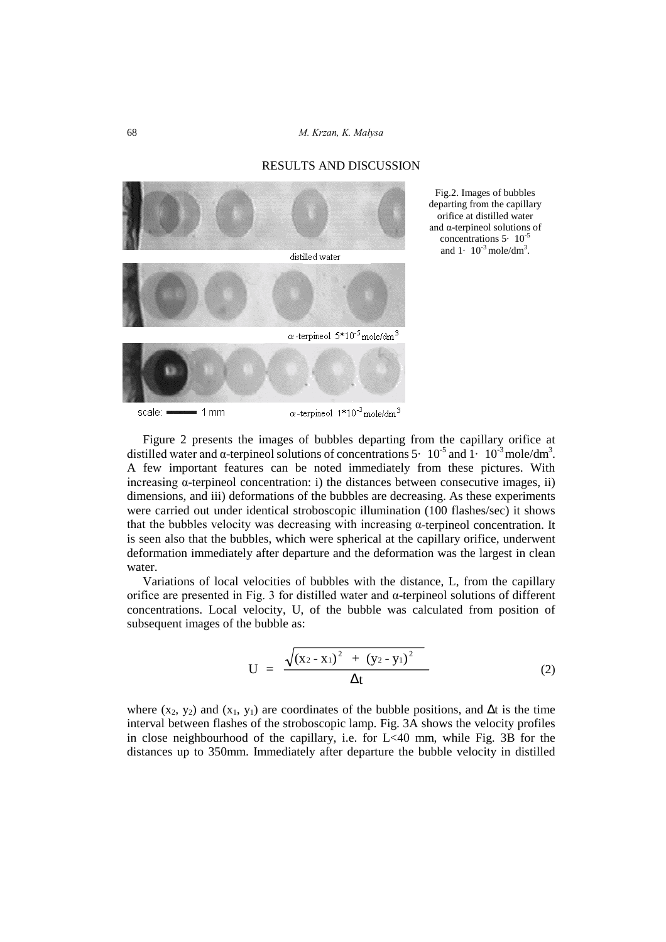## RESULTS AND DISCUSSION



Fig.2. Images of bubbles departing from the capillary orifice at distilled water and α-terpineol solutions of concentrations  $5 \cdot 10^{-5}$ and  $1 \cdot 10^{-3}$  mole/dm<sup>3</sup>.

Figure 2 presents the images of bubbles departing from the capillary orifice at distilled water and  $\alpha$ -terpineol solutions of concentrations 5 $\cdot$  10<sup>-5</sup> and 1 $\cdot$  10<sup>-3</sup> mole/dm<sup>3</sup>. A few important features can be noted immediately from these pictures. With increasing α-terpineol concentration: i) the distances between consecutive images, ii) dimensions, and iii) deformations of the bubbles are decreasing. As these experiments were carried out under identical stroboscopic illumination (100 flashes/sec) it shows that the bubbles velocity was decreasing with increasing  $\alpha$ -terpineol concentration. It is seen also that the bubbles, which were spherical at the capillary orifice, underwent deformation immediately after departure and the deformation was the largest in clean water.

Variations of local velocities of bubbles with the distance, L, from the capillary orifice are presented in Fig. 3 for distilled water and  $\alpha$ -terpineol solutions of different concentrations. Local velocity, U, of the bubble was calculated from position of subsequent images of the bubble as:

$$
U = \frac{\sqrt{(x_2 - x_1)^2 + (y_2 - y_1)^2}}{\Delta t}
$$
 (2)

where (x<sub>2</sub>, y<sub>2</sub>) and (x<sub>1</sub>, y<sub>1</sub>) are coordinates of the bubble positions, and ∆t is the time interval between flashes of the stroboscopic lamp. Fig. 3A shows the velocity profiles in close neighbourhood of the capillary, i.e. for L<40 mm, while Fig. 3B for the distances up to 350mm. Immediately after departure the bubble velocity in distilled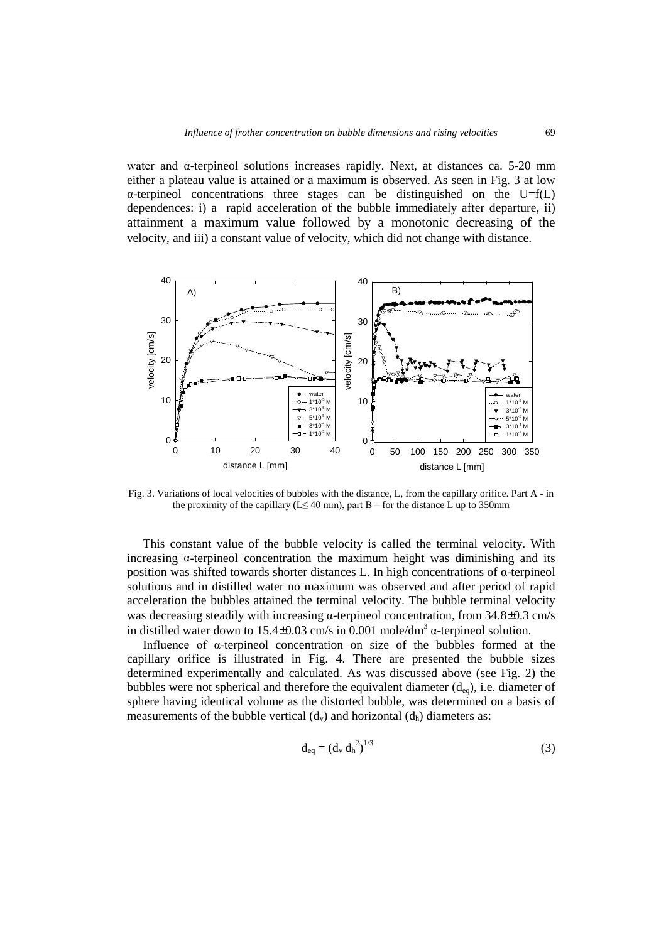water and  $\alpha$ -terpineol solutions increases rapidly. Next, at distances ca. 5-20 mm either a plateau value is attained or a maximum is observed. As seen in Fig. 3 at low  $\alpha$ -terpineol concentrations three stages can be distinguished on the U=f(L) dependences: i) a rapid acceleration of the bubble immediately after departure, ii) attainment a maximum value followed by a monotonic decreasing of the velocity, and iii) a constant value of velocity, which did not change with distance.



Fig. 3. Variations of local velocities of bubbles with the distance, L, from the capillary orifice. Part A - in the proximity of the capillary ( $L \leq 40$  mm), part B – for the distance L up to 350mm

This constant value of the bubble velocity is called the terminal velocity. With increasing  $\alpha$ -terpineol concentration the maximum height was diminishing and its position was shifted towards shorter distances L. In high concentrations of α-terpineol solutions and in distilled water no maximum was observed and after period of rapid acceleration the bubbles attained the terminal velocity. The bubble terminal velocity was decreasing steadily with increasing  $\alpha$ -terpineol concentration, from 34.8±0.3 cm/s in distilled water down to 15.4 $\pm$ 0.03 cm/s in 0.001 mole/dm<sup>3</sup> α-terpineol solution.

Influence of α-terpineol concentration on size of the bubbles formed at the capillary orifice is illustrated in Fig. 4. There are presented the bubble sizes determined experimentally and calculated. As was discussed above (see Fig. 2) the bubbles were not spherical and therefore the equivalent diameter  $(d_{eq})$ , i.e. diameter of sphere having identical volume as the distorted bubble, was determined on a basis of measurements of the bubble vertical  $(d_v)$  and horizontal  $(d_h)$  diameters as:

$$
d_{eq} = (d_v d_h^2)^{1/3}
$$
 (3)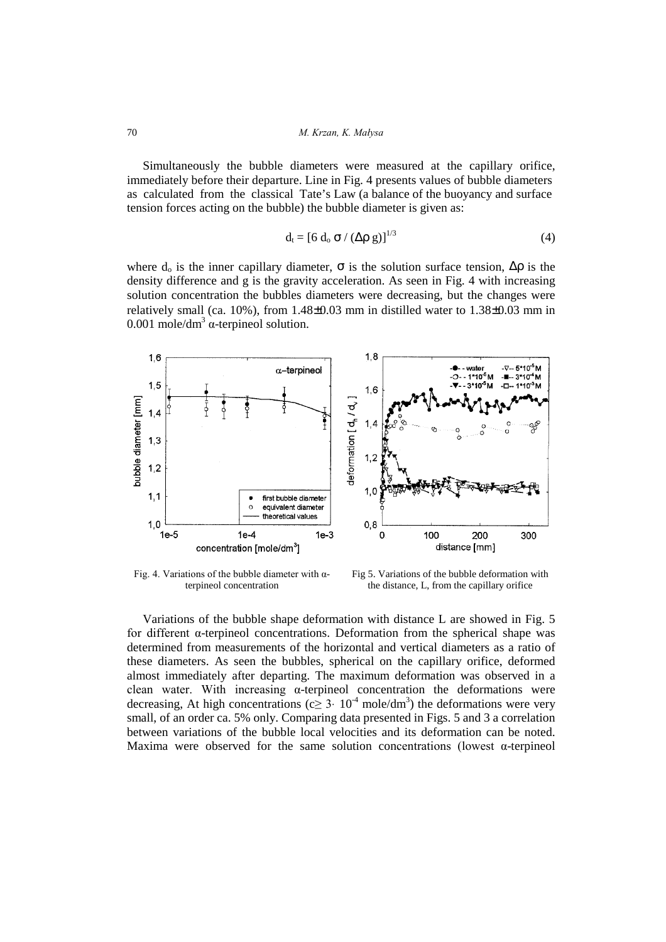Simultaneously the bubble diameters were measured at the capillary orifice, immediately before their departure. Line in Fig. 4 presents values of bubble diameters as calculated fromthe classical Tate's Law (a balance of the buoyancy and surface tension forces acting on the bubble) the bubble diameter is given as:

$$
d_t = [6 d_o \sigma / (\Delta \rho g)]^{1/3}
$$
 (4)

where  $d_0$  is the inner capillary diameter,  $\sigma$  is the solution surface tension,  $\Delta \rho$  is the density difference and g is the gravity acceleration. As seen in Fig. 4 with increasing solution concentration the bubbles diameters were decreasing, but the changes were relatively small (ca.  $10\%$ ), from  $1.48\pm0.03$  mm in distilled water to  $1.38\pm0.03$  mm in 0.001 mole/dm<sup>3</sup>  $\alpha$ -terpineol solution.



Fig. 4. Variations of the bubble diameter with  $\alpha$ terpineol concentration

Fig 5. Variations of the bubble deformation with the distance, L, from the capillary orifice

Variations of the bubble shape deformation with distance L are showed in Fig. 5 for different α-terpineol concentrations. Deformation from the spherical shape was determined from measurements of the horizontal and vertical diameters as a ratio of these diameters. As seen the bubbles, spherical on the capillary orifice, deformed almost immediately after departing. The maximum deformation was observed in a clean water. With increasing  $\alpha$ -terpineol concentration the deformations were decreasing, At high concentrations ( $c \geq 3$  ·  $10^{-4}$  mole/dm<sup>3</sup>) the deformations were very small, of an order ca. 5% only. Comparing data presented in Figs. 5 and 3 a correlation between variations of the bubble local velocities and its deformation can be noted. Maxima were observed for the same solution concentrations (lowest  $\alpha$ -terpineol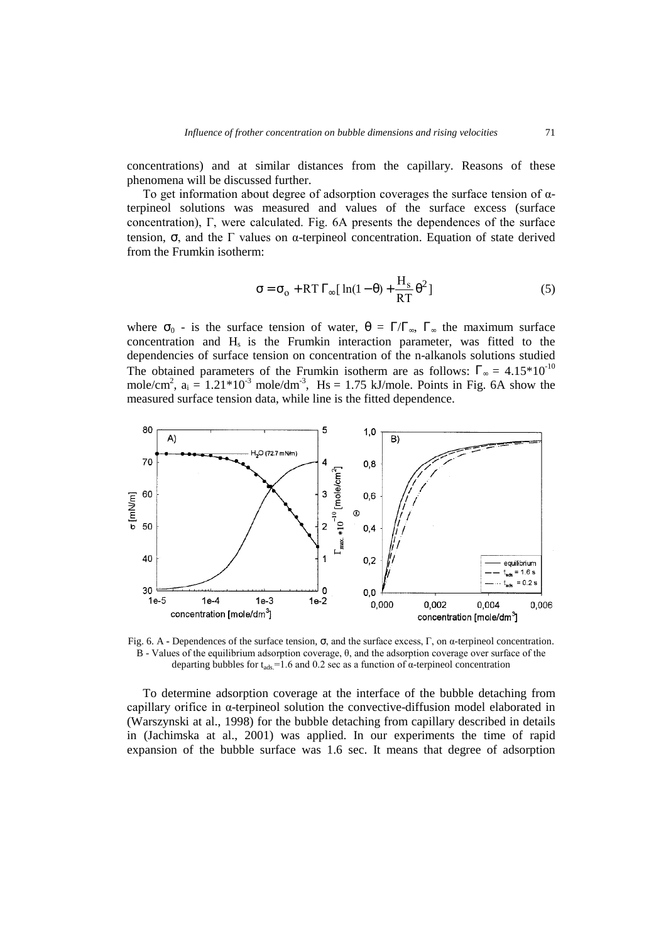concentrations) and at similar distances from the capillary. Reasons of these phenomena will be discussed further.

To get information about degree of adsorption coverages the surface tension of αterpineol solutions was measured and values of the surface excess (surface concentration), Γ, were calculated. Fig. 6A presents the dependences of the surface tension, σ, and the Γ values on α-terpineol concentration. Equation of state derived from the Frumkin isotherm:

$$
\sigma = \sigma_0 + RT \Gamma_{\infty} [\ln(1-\theta) + \frac{H_s}{RT} \theta^2]
$$
 (5)

where  $\sigma_0$  - is the surface tension of water,  $\theta = \Gamma/\Gamma_{\infty}$ ,  $\Gamma_{\infty}$  the maximum surface concentration and  $H_s$  is the Frumkin interaction parameter, was fitted to the dependencies of surface tension on concentration of the n-alkanols solutions studied The obtained parameters of the Frumkin isotherm are as follows:  $\Gamma_{\infty} = 4.15*10^{-10}$ mole/cm<sup>2</sup>,  $a_i = 1.21 * 10^{-3}$  mole/dm<sup>-3</sup>, Hs = 1.75 kJ/mole. Points in Fig. 6A show the measured surface tension data, while line is the fitted dependence.



Fig. 6. A **-** Dependences of the surface tension, σ, and the surface excess, Γ, on α-terpineol concentration. B - Values of the equilibrium adsorption coverage, θ, and the adsorption coverage over surface of the departing bubbles for  $t_{ads}$ =1.6 and 0.2 sec as a function of  $\alpha$ -terpineol concentration

To determine adsorption coverage at the interface of the bubble detaching from capillary orifice in α-terpineol solution the convective-diffusion model elaborated in (Warszynski at al., 1998) for the bubble detaching from capillary described in details in (Jachimska at al., 2001) was applied. In our experiments the time of rapid expansion of the bubble surface was 1.6 sec. It means that degree of adsorption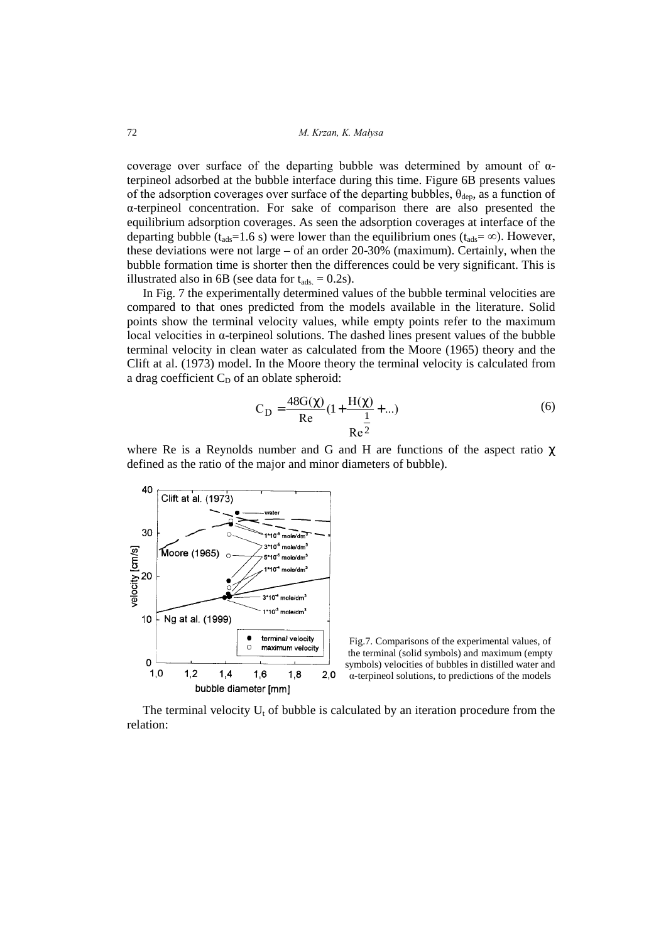coverage over surface of the departing bubble was determined by amount of  $\alpha$ terpineol adsorbed at the bubble interface during this time. Figure 6B presents values of the adsorption coverages over surface of the departing bubbles,  $\theta_{\text{dep}}$ , as a function of α-terpineol concentration. For sake of comparison there are also presented the equilibrium adsorption coverages. As seen the adsorption coverages at interface of the departing bubble ( $t_{ads}$ =1.6 s) were lower than the equilibrium ones ( $t_{ads}$ = ∞). However, these deviations were not large – of an order 20-30% (maximum). Certainly, when the bubble formation time is shorter then the differences could be very significant. This is illustrated also in 6B (see data for  $t_{ads} = 0.2$ s).

In Fig. 7 the experimentally determined values of the bubble terminal velocities are compared to that ones predicted from the models available in the literature. Solid points show the terminal velocity values, while empty points refer to the maximum local velocities in α-terpineol solutions. The dashed lines present values of the bubble terminal velocity in clean water as calculated from the Moore (1965) theory and the Clift at al. (1973) model. In the Moore theory the terminal velocity is calculated from a drag coefficient  $C_D$  of an oblate spheroid:

$$
C_{\rm D} = \frac{48G(\chi)}{Re} \left( 1 + \frac{H(\chi)}{1} + \ldots \right)
$$
 (6)

where Re is a Reynolds number and G and H are functions of the aspect ratio  $\chi$ defined as the ratio of the major and minor diameters of bubble).



Fig.7. Comparisons of the experimental values, of the terminal (solid symbols) and maximum (empty symbols) velocities of bubbles in distilled water and α-terpineol solutions, to predictions of the models

The terminal velocity  $U_t$  of bubble is calculated by an iteration procedure from the relation: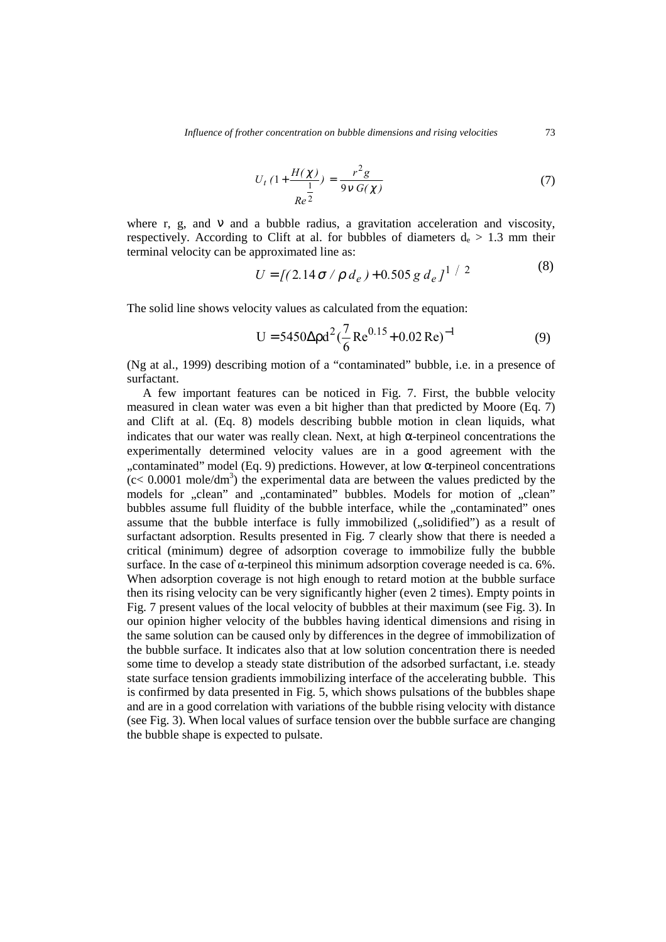$$
U_t \left(1 + \frac{H(\chi)}{\frac{1}{Re^2}}\right) = \frac{r^2 g}{9v G(\chi)}
$$
\n<sup>(7)</sup>

where r, g, and  $\nu$  and a bubble radius, a gravitation acceleration and viscosity, respectively. According to Clift at al. for bubbles of diameters  $d_e > 1.3$  mm their terminal velocity can be approximated line as:  $(8)$ 

$$
U = \left[ (2.14 \sigma / \rho \, d_e) + 0.505 \, g \, d_e \right]^{1/2} \tag{8}
$$

The solid line shows velocity values as calculated from the equation:

$$
U = 5450 \Delta \rho d^{2} (\frac{7}{6} Re^{0.15} + 0.02 Re)^{-1}
$$
 (9)

(Ng at al., 1999) describing motion of a "contaminated" bubble, i.e. in a presence of surfactant.

A few important features can be noticed in Fig. 7. First, the bubble velocity measured in clean water was even a bit higher than that predicted by Moore (Eq. 7) and Clift at al. (Eq. 8) models describing bubble motion in clean liquids, what indicates that our water was really clean. Next, at high α-terpineol concentrations the experimentally determined velocity values are in a good agreement with the "contaminated" model (Eq. 9) predictions. However, at low  $\alpha$ -terpineol concentrations,  $(c < 0.0001$  mole/dm<sup>3</sup>) the experimental data are between the values predicted by the models for "clean" and "contaminated" bubbles. Models for motion of "clean" bubbles assume full fluidity of the bubble interface, while the "contaminated" ones assume that the bubble interface is fully immobilized ("solidified") as a result of surfactant adsorption. Results presented in Fig. 7 clearly show that there is needed a critical (minimum) degree of adsorption coverage to immobilize fully the bubble surface. In the case of  $\alpha$ -terpineol this minimum adsorption coverage needed is ca. 6%. When adsorption coverage is not high enough to retard motion at the bubble surface then its rising velocity can be very significantly higher (even 2 times). Empty points in Fig. 7 present values of the local velocity of bubbles at their maximum (see Fig. 3). In our opinion higher velocity of the bubbles having identical dimensions and rising in the same solution can be caused only by differences in the degree of immobilization of the bubble surface. It indicates also that at low solution concentration there is needed some time to develop a steady state distribution of the adsorbed surfactant, i.e. steady state surface tension gradients immobilizing interface of the accelerating bubble. This is confirmed by data presented in Fig. 5, which shows pulsations of the bubbles shape and are in a good correlation with variations of the bubble rising velocity with distance (see Fig. 3). When local values of surface tension over the bubble surface are changing the bubble shape is expected to pulsate.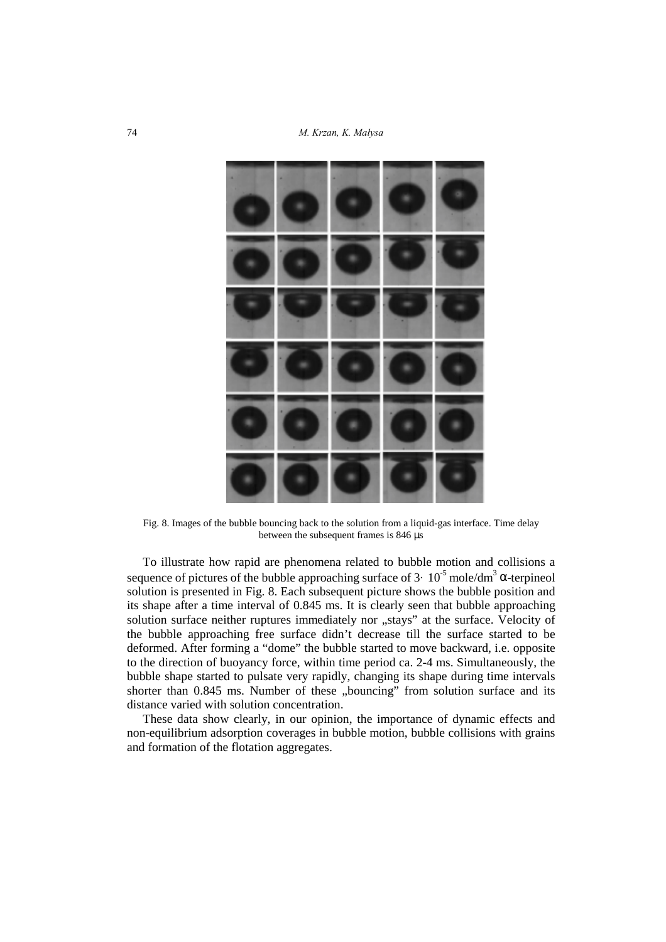

Fig. 8. Images of the bubble bouncing back to the solution from a liquid-gas interface. Time delay between the subsequent frames is 846 µs

To illustrate how rapid are phenomena related to bubble motion and collisions a sequence of pictures of the bubble approaching surface of  $3 \cdot 10^{-5}$  mole/dm<sup>3</sup>  $\alpha$ -terpineol solution is presented in Fig. 8. Each subsequent picture shows the bubble position and its shape after a time interval of 0.845 ms. It is clearly seen that bubble approaching solution surface neither ruptures immediately nor "stays" at the surface. Velocity of the bubble approaching free surface didn't decrease till the surface started to be deformed. After forming a "dome" the bubble started to move backward, i.e. opposite to the direction of buoyancy force, within time period ca. 2-4 ms. Simultaneously, the bubble shape started to pulsate very rapidly, changing its shape during time intervals shorter than 0.845 ms. Number of these "bouncing" from solution surface and its distance varied with solution concentration.

These data show clearly, in our opinion, the importance of dynamic effects and non-equilibrium adsorption coverages in bubble motion, bubble collisions with grains and formation of the flotation aggregates.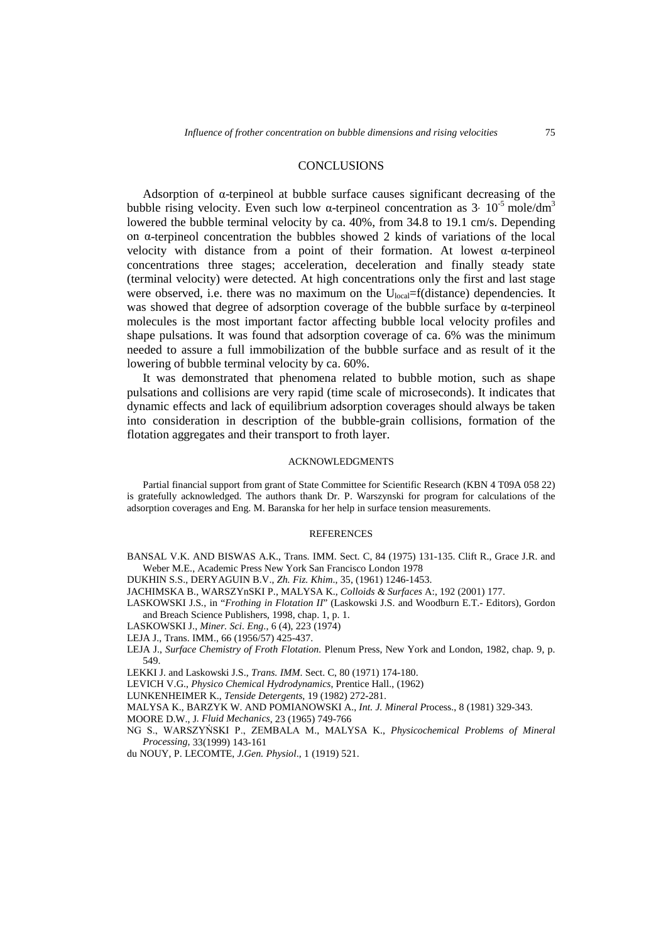### **CONCLUSIONS**

Adsorption of  $\alpha$ -terpineol at bubble surface causes significant decreasing of the bubble rising velocity. Even such low  $\alpha$ -terpineol concentration as 3· 10<sup>-5</sup> mole/dm<sup>3</sup> lowered the bubble terminal velocity by ca. 40%, from 34.8 to 19.1 cm/s. Depending on α-terpineol concentration the bubbles showed 2 kinds of variations of the local velocity with distance from a point of their formation. At lowest α-terpineol concentrations three stages; acceleration, deceleration and finally steady state (terminal velocity) were detected. At high concentrations only the first and last stage were observed, i.e. there was no maximum on the U<sub>local</sub>=f(distance) dependencies. It was showed that degree of adsorption coverage of the bubble surface by  $\alpha$ -terpineol molecules is the most important factor affecting bubble local velocity profiles and shape pulsations. It was found that adsorption coverage of ca. 6% was the minimum needed to assure a full immobilization of the bubble surface and as result of it the lowering of bubble terminal velocity by ca. 60%.

It was demonstrated that phenomena related to bubble motion, such as shape pulsations and collisions are very rapid (time scale of microseconds). It indicates that dynamic effects and lack of equilibrium adsorption coverages should always be taken into consideration in description of the bubble-grain collisions, formation of the flotation aggregates and their transport to froth layer.

#### ACKNOWLEDGMENTS

Partial financial support from grant of State Committee for Scientific Research (KBN 4 T09A 058 22) is gratefully acknowledged. The authors thank Dr. P. Warszynski for program for calculations of the adsorption coverages and Eng. M. Baranska for her help in surface tension measurements.

#### **REFERENCES**

BANSAL V.K. AND BISWAS A.K., Trans. IMM. Sect. C, 84 (1975) 131-135. Clift R., Grace J.R. and Weber M.E., Academic Press New York San Francisco London 1978

DUKHIN S.S., DERYAGUIN B.V., *Zh. Fiz. Khim*., 35, (1961) 1246-1453.

- JACHIMSKA B., WARSZYnSKI P., MALYSA K., *Colloids & Surfaces* A:, 192 (2001) 177.
- LASKOWSKI J.S*.*, in "*Frothing in Flotation II*" (Laskowski J.S. and Woodburn E.T.- Editors), Gordon and Breach Science Publishers, 1998, chap. 1, p. 1.
- LASKOWSKI J., *Miner. Sci. Eng*., 6 (4), 223 (1974)
- LEJA J., Trans. IMM., 66 (1956/57) 425-437.
- LEJA J., *Surface Chemistry of Froth Flotation.* Plenum Press, New York and London, 1982, chap. 9, p. 549.
- LEKKI J. and Laskowski J.S., *Trans. IMM*. Sect. C, 80 (1971) 174-180.
- LEVICH V.G., *Physico Chemical Hydrodynamics*, Prentice Hall., (1962)
- LUNKENHEIMER K., *Tenside Detergents*, 19 (1982) 272-281.
- MALYSA K., BARZYK W. AND POMIANOWSKI A., *Int. J. Mineral P*rocess., 8 (1981) 329-343.
- MOORE D.W., J*. Fluid Mechanics*, 23 (1965) 749-766
- NG S., WARSZYŃSKI P., ZEMBALA M., MALYSA K., *Physicochemical Problems of Mineral Processing,* 33(1999) 143-161
- du NOUY, P. LECOMTE, *J.Gen. Physiol*., 1 (1919) 521.